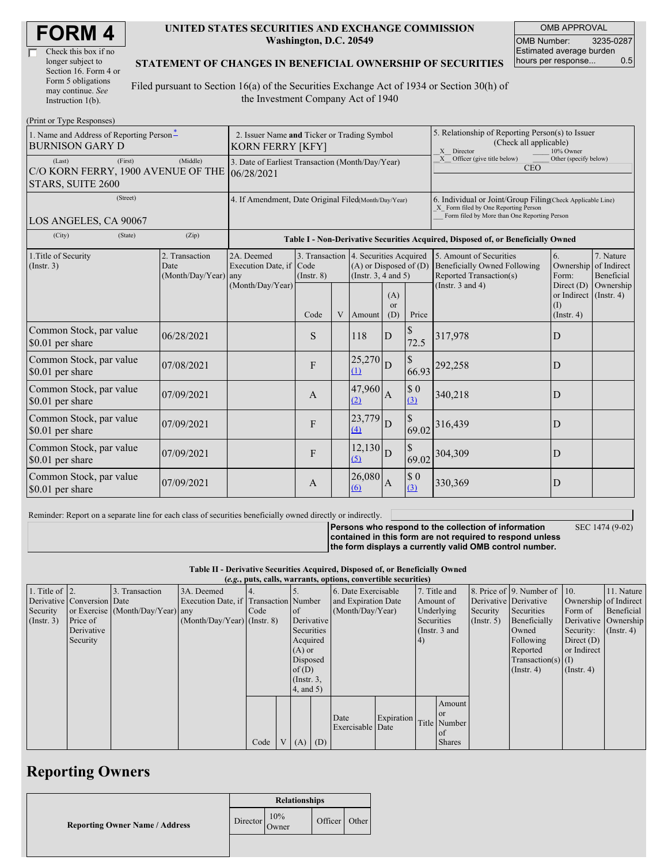| <b>FORM4</b> |
|--------------|
|--------------|

| Check this box if no  |
|-----------------------|
| longer subject to     |
| Section 16. Form 4 or |
| Form 5 obligations    |
| may continue. See     |
| Instruction $1(b)$ .  |

#### **UNITED STATES SECURITIES AND EXCHANGE COMMISSION Washington, D.C. 20549**

OMB APPROVAL OMB Number: 3235-0287 Estimated average burden hours per response... 0.5

#### **STATEMENT OF CHANGES IN BENEFICIAL OWNERSHIP OF SECURITIES**

Filed pursuant to Section 16(a) of the Securities Exchange Act of 1934 or Section 30(h) of the Investment Company Act of 1940

| (Print or Type Responses)                                                    |                                                                                           |                                                           |                 |   |                                                                                                 |                                                                                                                                                    |                                                                                                       |                                                                                           |                                                                    |                                        |
|------------------------------------------------------------------------------|-------------------------------------------------------------------------------------------|-----------------------------------------------------------|-----------------|---|-------------------------------------------------------------------------------------------------|----------------------------------------------------------------------------------------------------------------------------------------------------|-------------------------------------------------------------------------------------------------------|-------------------------------------------------------------------------------------------|--------------------------------------------------------------------|----------------------------------------|
| 1. Name and Address of Reporting Person-<br><b>BURNISON GARY D</b>           | 2. Issuer Name and Ticker or Trading Symbol<br><b>KORN FERRY [KFY]</b>                    |                                                           |                 |   |                                                                                                 |                                                                                                                                                    | 5. Relationship of Reporting Person(s) to Issuer<br>(Check all applicable)<br>X Director<br>10% Owner |                                                                                           |                                                                    |                                        |
| (First)<br>(Last)<br>C/O KORN FERRY, 1900 AVENUE OF THE<br>STARS, SUITE 2600 | 3. Date of Earliest Transaction (Month/Day/Year)<br>06/28/2021                            |                                                           |                 |   |                                                                                                 | Officer (give title below)<br>Other (specify below)<br>X<br><b>CEO</b>                                                                             |                                                                                                       |                                                                                           |                                                                    |                                        |
| (Street)<br>LOS ANGELES, CA 90067                                            | 4. If Amendment, Date Original Filed(Month/Day/Year)                                      |                                                           |                 |   |                                                                                                 | 6. Individual or Joint/Group Filing(Check Applicable Line)<br>X Form filed by One Reporting Person<br>Form filed by More than One Reporting Person |                                                                                                       |                                                                                           |                                                                    |                                        |
| (City)<br>(State)                                                            | (Zip)<br>Table I - Non-Derivative Securities Acquired, Disposed of, or Beneficially Owned |                                                           |                 |   |                                                                                                 |                                                                                                                                                    |                                                                                                       |                                                                                           |                                                                    |                                        |
| 1. Title of Security<br>(Insert. 3)                                          | 2. Transaction<br>Date<br>(Month/Day/Year) any                                            | 2A. Deemed<br>Execution Date, if Code<br>(Month/Day/Year) | $($ Instr. $8)$ |   | 3. Transaction 4. Securities Acquired<br>$(A)$ or Disposed of $(D)$<br>(Instr. $3, 4$ and $5$ ) |                                                                                                                                                    |                                                                                                       | 5. Amount of Securities<br><b>Beneficially Owned Following</b><br>Reported Transaction(s) | 6.<br>Ownership<br>Form:                                           | 7. Nature<br>of Indirect<br>Beneficial |
|                                                                              |                                                                                           |                                                           | Code            | V | Amount                                                                                          | (A)<br><sub>or</sub><br>(D)                                                                                                                        | Price                                                                                                 | (Instr. $3$ and $4$ )                                                                     | Direct $(D)$<br>or Indirect $($ Instr. 4 $)$<br>(1)<br>(Insert. 4) | Ownership                              |
| Common Stock, par value<br>\$0.01 per share                                  | 06/28/2021                                                                                |                                                           | S               |   | 118                                                                                             | D                                                                                                                                                  | 72.5                                                                                                  | 317,978                                                                                   | D                                                                  |                                        |
| Common Stock, par value<br>\$0.01 per share                                  | 07/08/2021                                                                                |                                                           | F               |   | 25,270<br>(1)                                                                                   | D                                                                                                                                                  | \$<br>66.93                                                                                           | 292,258                                                                                   | D                                                                  |                                        |
| Common Stock, par value<br>\$0.01 per share                                  | 07/09/2021                                                                                |                                                           | A               |   | 47,960<br>(2)                                                                                   | $\mathbf{A}$                                                                                                                                       | $\$$ 0<br>$\overline{(3)}$                                                                            | 340,218                                                                                   | D                                                                  |                                        |
| Common Stock, par value<br>\$0.01 per share                                  | 07/09/2021                                                                                |                                                           | F               |   | 23,779<br>(4)                                                                                   | D                                                                                                                                                  | \$<br>69.02                                                                                           | 316,439                                                                                   | D                                                                  |                                        |
| Common Stock, par value<br>\$0.01 per share                                  | 07/09/2021                                                                                |                                                           | F               |   | 12,130<br>(5)                                                                                   | D                                                                                                                                                  | $\mathbb{S}$<br>69.02                                                                                 | 304,309                                                                                   | D                                                                  |                                        |
| Common Stock, par value<br>\$0.01 per share                                  | 07/09/2021                                                                                |                                                           | A               |   | 26,080<br>(6)                                                                                   | A                                                                                                                                                  | $\$$ 0<br>$\overline{(3)}$                                                                            | 330,369                                                                                   | D                                                                  |                                        |

Reminder: Report on a separate line for each class of securities beneficially owned directly or indirectly.

SEC 1474 (9-02)

**Persons who respond to the collection of information contained in this form are not required to respond unless the form displays a currently valid OMB control number.**

**Table II - Derivative Securities Acquired, Disposed of, or Beneficially Owned**

| (e.g., puts, calls, warrants, options, convertible securities) |                            |                                  |                                       |      |  |                 |  |                     |            |            |                 |             |                              |                       |                  |
|----------------------------------------------------------------|----------------------------|----------------------------------|---------------------------------------|------|--|-----------------|--|---------------------|------------|------------|-----------------|-------------|------------------------------|-----------------------|------------------|
| 1. Title of $\vert$ 2.                                         |                            | 3. Transaction                   | 3A. Deemed                            |      |  |                 |  | 6. Date Exercisable |            |            | 7. Title and    |             | 8. Price of 9. Number of 10. |                       | 11. Nature       |
|                                                                | Derivative Conversion Date |                                  | Execution Date, if Transaction Number |      |  |                 |  | and Expiration Date |            |            | Amount of       |             | Derivative Derivative        | Ownership of Indirect |                  |
| Security                                                       |                            | or Exercise (Month/Day/Year) any |                                       | Code |  | 1 of            |  | (Month/Day/Year)    |            |            | Underlying      | Security    | Securities                   | Form of               | Beneficial       |
| (Insert. 3)                                                    | Price of                   |                                  | $(Month/Day/Year)$ (Instr. 8)         |      |  | Derivative      |  |                     |            | Securities |                 | (Insert. 5) | Beneficially                 | Derivative Ownership  |                  |
|                                                                | Derivative                 |                                  |                                       |      |  | Securities      |  |                     |            |            | (Instr. $3$ and |             | Owned                        | Security:             | $($ Instr. 4 $)$ |
|                                                                | Security                   |                                  |                                       |      |  | Acquired        |  |                     |            | (4)        |                 |             | Following                    | Direct $(D)$          |                  |
|                                                                |                            |                                  |                                       |      |  | $(A)$ or        |  |                     |            |            |                 |             | Reported                     | or Indirect           |                  |
|                                                                |                            |                                  |                                       |      |  | Disposed        |  |                     |            |            |                 |             | $Transaction(s)$ (I)         |                       |                  |
|                                                                |                            |                                  |                                       |      |  | of $(D)$        |  |                     |            |            |                 |             | $($ Instr. 4 $)$             | $($ Instr. 4 $)$      |                  |
|                                                                |                            |                                  |                                       |      |  | $($ Instr. $3,$ |  |                     |            |            |                 |             |                              |                       |                  |
|                                                                |                            |                                  |                                       |      |  | $4$ , and $5$ ) |  |                     |            |            |                 |             |                              |                       |                  |
|                                                                |                            |                                  |                                       |      |  |                 |  |                     |            |            | Amount          |             |                              |                       |                  |
|                                                                |                            |                                  |                                       |      |  |                 |  |                     |            |            | or or           |             |                              |                       |                  |
|                                                                |                            |                                  |                                       |      |  |                 |  | Date                | Expiration |            | Title Number    |             |                              |                       |                  |
|                                                                |                            |                                  |                                       |      |  |                 |  | Exercisable Date    |            |            | of              |             |                              |                       |                  |
|                                                                |                            |                                  |                                       | Code |  | $V(A)$ (D)      |  |                     |            |            | <b>Shares</b>   |             |                              |                       |                  |

## **Reporting Owners**

|                                       | <b>Relationships</b> |              |                  |  |  |  |  |
|---------------------------------------|----------------------|--------------|------------------|--|--|--|--|
| <b>Reporting Owner Name / Address</b> | Director             | 10%<br>Owner | Officer<br>Other |  |  |  |  |